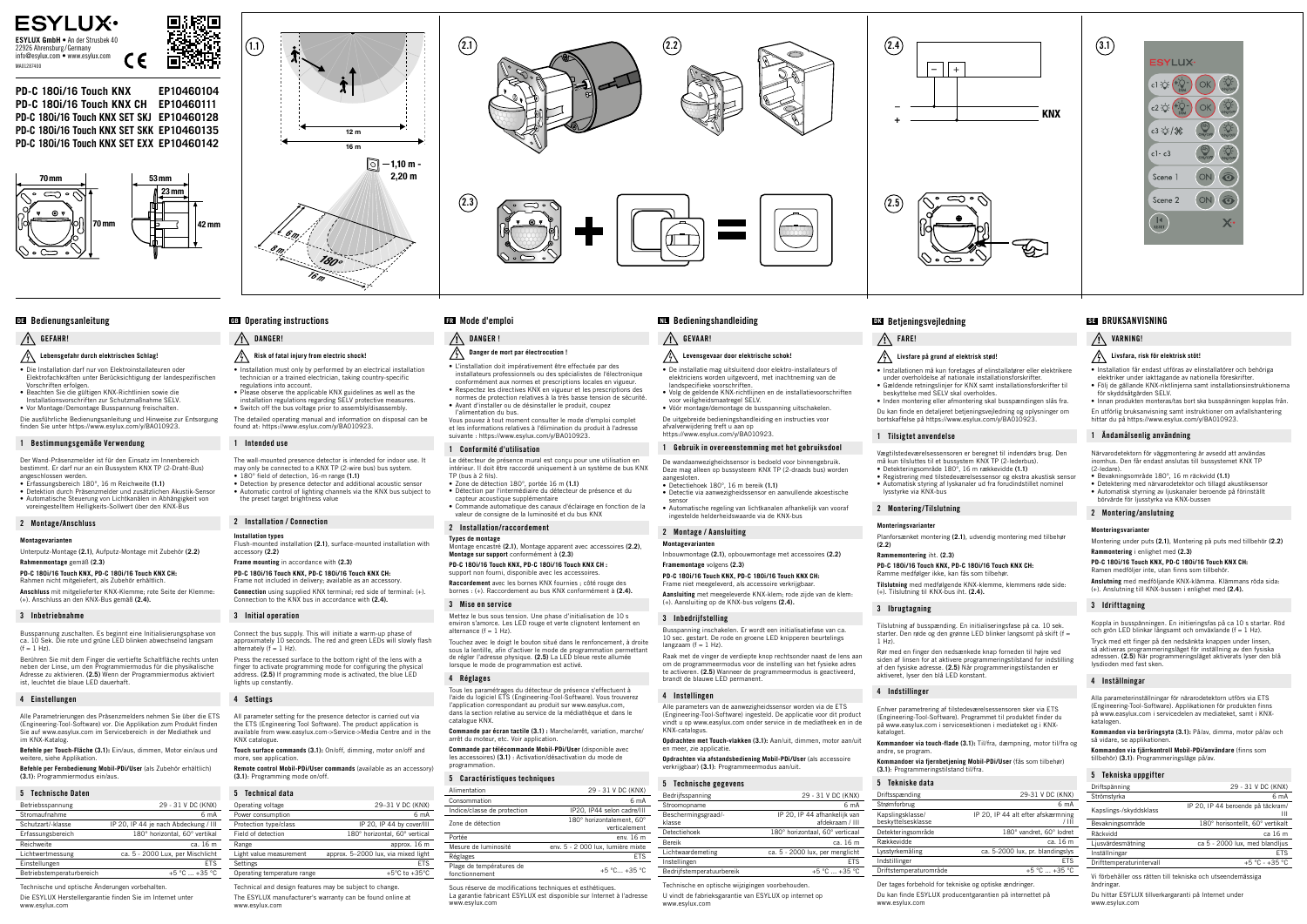# + –

**PD-C 180i/16 Touch KNX EP10460104 PD-C 180i/16 Touch KNX CH EP10460111 PD-C 180i/16 Touch KNX SET SKJ EP10460128 PD-C 180i/16 Touch KNX SET SKK EP10460135 PD-C 180i/16 Touch KNX SET EXX EP10460142**

CE

面漆的

#### **ESYLUX ESYLUX GmbH** • An der Strusbek 40 22926 Ahrensburg/Germany info@esylux.com • www.esylux.com MA01287400

## **Lebensgefahr durch elektrischen Schlag!**

• Die Installation darf nur von Elektroinstallateuren oder Elektrofachkräften unter Berücksichtigung der landespezifischen Vorschriften erfolgen.

- Beachten Sie die gültigen KNX-Richtlinien sowie die Installationsvorschriften zur Schutzmaßnahme SELV.
- Vor Montage/Demontage Busspannung freischalten.

Die ausführliche Bedienungsanleitung und Hinweise zur Entsorgung finden Sie unter https://www.esylux.com/y/BA010923.

Rahmen nicht mitgeliefert, als Zubehör erhältl **Anschluss** mit mitgelieferter KNX-Klemme; rote Seite der Klemme: (+). Anschluss an den KNX-Bus gemäß **(2.4).**

Busspannung zuschalten. Es beginnt eine Initialisierungsphase von ca. 10 Sek. Die rote und grüne LED blinken abwechselnd langsam  $(f = 1 Hz)$ .

#### 1 Bestimmungsgemäße Verwendung

Der Wand-Präsenzmelder ist für den Einsatz im Innenbereich bestimmt. Er darf nur an ein Bussystem KNX TP (2-Draht-Bus)

- angeschlossen werden. Erfassungsbereich 180°, 16 m Reichweite **(1.1)**
- Detektion durch Präsenzmelder und zusätzlichen Akustik-Sensor • Automatische Steuerung von Lichtkanälen in Abhängigkeit von voreingestelltem Helligkeits-Sollwert über den KNX-Bus

#### 2 Montage/Anschluss

#### **Montagevarianten**

Unterputz-Montage **(2.1)**, Aufputz-Montage mit Zubehör **(2.2)** 

#### **Rahmenmontage** gemäß **(2.3) PD-C 180i/16 Touch KNX, PD-C 180i/16 Touch KNX CH:**

#### 3 Inbetriebnahme

# Bedienungsanleitung **DE**

# $\bigwedge$  Gefahr!

Berühren Sie mit dem Finger die vertiefte Schaltfläche rechts unten neben der Linse, um den Programmiermodus für die physikalische Adresse zu aktivieren. **(2.5)** Wenn der Programmiermodus aktiviert ist, leuchtet die blaue LED dauerhaft.

may only be connected to a KNX TP (2-wire bus) bus system. • 180° field of detection, 16-m range **(1.1)** • Detection by presence detector and additional acoustic sensor

#### 4 Einstellungen

Alle Parametrierungen des Präsenzmelders nehmen Sie über die ETS (Engineering-Tool-Software) vor. Die Applikation zum Produkt finden Sie auf www.easylux.com im Servicebereich in der Mediathek und im KNX-Katalog.

Connect the bus supply. This will initiate a warm-up phase of approximately 10 seconds. The red and green LEDs will slowly flash alternately  $(f = 1$  Hz).

**Befehle per Touch-Fläche (3.1):** Ein/aus, dimmen, Motor ein/aus und weitere, siehe Applikation.

**Befehle per Fernbedienung Mobil-PDi/User** (als Zubehör erhältlich) **(3.1)**: Programmiermodus ein/aus.

## 5 Technische Daten

| Betriebsspannung          | 29 - 31 V DC (KNX)                   |
|---------------------------|--------------------------------------|
| Stromaufnahme             | 6 <sub>m</sub> A                     |
| Schutzart/-klasse         | IP 20, IP 44 je nach Abdeckung / III |
| Erfassungsbereich         | 180° horizontal, 60° vertikal        |
| Reichweite                | ca. 16 m                             |
| Lichtwertmessung          | ca. 5 - 2000 Lux, per Mischlicht     |
| Einstellungen             | <b>FTS</b>                           |
| Betriebstemperaturbereich | +5 °C  +35 °C                        |



 $\left( \overline{1,1}\right)$ 16 m  $\frac{12 \text{ m}}{2}$  $\boxed{\odot}$  -1,10 m  $\cdot$ 2,20 m 180° 16 m  $\epsilon_{m}$  $\mathscr{E}_{m}$ 







• Installation must only by performed by an electrical installation technician or a trained electrician, taking country-specific regulations into account.

- Please observe the applicable KNX guidelines as well as the installation regulations regarding SELV protective measures.
- Switch off the bus voltage prior to assembly/disassembly The detailed operating manual and information on disposal can be
- found at: https://www.esylux.com/y/BA010923.
- 1 Intended use The wall-mounted presence detector is intended for indoor use. It

Mettez le bus sous tension. Une phase d'initialisation de 10 s environ s'amorce. Les LED rouge et verte clignotent lentement en  $\frac{1}{2}$  alternance  $(f = 1$  Hz).

• Automatic control of lighting channels via the KNX bus subject to the preset target brightness value

#### 2 Installation / Connection

**Installation types** Flush-mounted installation **(2.1)**, surface-mounted installation with accessory **(2.2)** 

## **Frame mounting** in accordance with **(2.3)**

**PD-C 180i/16 Touch KNX, PD-C 180i/16 Touch KNX CH:** Frame not included in delivery; available as an accessory. **Connection** using supplied KNX terminal; red side of terminal: (+). Connection to the KNX bus in accordance with **(2.4).**

## Operating instructions **GB** Mode d'emploi

#### A DANGER!

# $\mathcal{P}_1$  Risk of fatal injury from electric shock!

# 3 Initial operation

Press the recessed surface to the bottom right of the lens with a finger to activate programming mode for configuring the physical address. **(2.5)** If programming mode is activated, the blue LED lights up constantly.

#### 4 Settings

All parameter setting for the presence detector is carried out via the ETS (Engineering Tool Software). The product application is available from www.easylux.com->Service->Media Centre and in the KNX catalogue.

**Touch surface commands (3.1):** On/off, dimming, motor on/off and more, see application.

**Remote control Mobil-PDi/User commands** (available as an accessory) **(3.1)**: Programming mode on/off.

#### 5 Technical data

| Operating voltage           | 29-31 V DC (KNX)                    |
|-----------------------------|-------------------------------------|
| Power consumption           | 6 mA                                |
| Protection type/class       | IP 20. IP 44 by cover/III           |
| Field of detection          | 180° horizontal, 60° vertical       |
| Range                       | approx. 16 m                        |
| Light value measurement     | approx. 5-2000 lux, via mixed light |
| Settings                    | <b>FTS</b>                          |
| Operating temperature range | +5 $^{\circ}$ C to +35 $^{\circ}$ C |

Beschermingsgraad/ klasse

Bedrijfstemperatuurbereik

Technical and design features may be subject to change. The ESYLUX manufacturer's warranty can be found online at www.esylux.com

# A DANGER !

# **Danger de mort par électrocution !**

• L'installation doit impérativement être effectuée par des installateurs professionnels ou des spécialistes de l'électronique conformément aux normes et prescriptions locales en vigueur.

• Respectez les directives KNX en vigueur et les prescriptions des normes de protection relatives à la très basse tension de sécurité. • Avant d'installer ou de désinstaller le produit, coupez l'alimentation du bus.

Vous pouvez à tout moment consulter le mode d'emploi complet et les informations relatives à l'élimination du produit à l'adresse suivante : https://www.esylux.com/y/BA010923.

#### Conformité d'utilisation

Ramme medfølger ikke, kan fås som tilbehør **Tilslutning** med medfølgende KNX-klemme, klemmens røde side: (+). Tilslutning til KNX-bus iht. **(2.4).**

Le détecteur de présence mural est conçu pour une utilisation en intérieur. Il doit être raccordé uniquement à un système de bus KNX TP (bus à 2 fils).

- Zone de détection 180°, portée 16 m **(1.1)** • Détection par l'intermédiaire du détecteur de présence et du
- capteur acoustique supplémentaire
- Commande automatique des canaux d'éclairage en fonction de la valeur de consigne de la luminosité et du bus KNX

5 Tekniske data Driftsspænding  $Strømforhruq$ Kanslingsklasse beskyttelsesklass

Detekteringsområde Rækkevidde Lysstyrkemåling Indstillinger Driftstemperaturområde

# 2 Installation/raccordement

**Types de montage** Montage encastré **(2.1)**, Montage apparent avec accessoires **(2.2)**, **Montage sur support** conformément à **(2.3)**

#### **FR** Mode d'emploi **FR** Bedieningshandleiding **NL** Betjeningsvejledning **DK** BRUKSANVISNING

#### $\bigwedge$  GEVAAR!

## **PD-C 180i/16 Touch KNX, PD-C 180i/16 Touch KNX CH :**

support non fourni, disponible avec les accessoires.

**Raccordement** avec les bornes KNX fournies ; côté rouge des bornes : (+). Raccordement au bus KNX conformément à **(2.4).**

#### 3 Mise en service

#### **PD-C 180i/16 Touch KNX, PD-C 180i/16 Touch KNX CH:** Ramen medföljer inte, utan finns som tillbehö

Touchez avec le doigt le bouton situé dans le renfoncement, à droite sous la lentille, afin d'activer le mode de programmation permettant de régler l'adresse physique. **(2.5)** La LED bleue reste allumée lorsque le mode de programmation est activé.

#### 4 Réglages

Tous les paramétrages du détecteur de présence s'effectuent à l'aide du logiciel ETS (Engineering-Tool-Software). Vous trouverez l'application correspondant au produit sur www.easylux.com, dans la section relative au service de la médiathèque et dans le catalogue KNX.

> **Kommandon via beröringsyta (3.1):** På/av, dimma, motor på/av och så vidare, se applikatione

**Commande par écran tactile (3.1) :** Marche/arrêt, variation, marche/ arrêt du moteur, etc. Voir application.

**Commande par télécommande Mobil-PDi/User** (disponible avec les accessoires) **(3.1)** : Activation/désactivation du mode de programmation.

#### 5 Caractéristiques techniques

| J GALAGLICIISTIQUES LEGINIQUES             |                                            |
|--------------------------------------------|--------------------------------------------|
| Alimentation                               | 29 - 31 V DC (KNX)                         |
| Consommation                               | 6 mA                                       |
| Indice/classe de protection                | IP20, IP44 selon cadre/III                 |
| Zone de détection                          | 180° horizontalement. 60°<br>verticalement |
| Portée                                     | env. 16 m                                  |
| Mesure de luminosité                       | env. 5 - 2 000 lux, lumière mixte          |
| Réglages                                   | <b>ETS</b>                                 |
| Plage de températures de<br>fonctionnement | $+5$ °C $+35$ °C                           |

Sous réserve de modifications techniques et esthétiques. La garantie fabricant ESYLUX est disponible sur Internet à l'adresse www.esylux.com

# **Levensgevaar door elektrische schok!**

- De installatie mag uitsluitend door elektro-installateurs of elektriciens worden uitgevoerd, met inachtneming van de landspecifieke voorschriften.
- Volg de geldende KNX-richtlijnen en de installatievoorschriften voor veiligheidsmaatregel SELV.
- Vóór montage/demontage de busspanning uitschakelen. De uitgebreide bedieningshandleiding en instructies voor
- afvalverwijdering treft u aan op https://www.esylux.com/y/BA010923.

## 1 Gebruik in overeenstemming met het gebruiksdoel

aangesloten.

• Detectiehoek 180°, 16 m bereik **(1.1)**

sensor

ingestelde helderheidswaarde via de KNX-bus

2 Montage / Aansluiting **Montagevarianten**

Inbouwmontage **(2.1)**, opbouwmontage met accessoires **(2.2)** 

**Framemontage** volgens **(2.3)**

**PD-C 180i/16 Touch KNX, PD-C 180i/16 Touch KNX CH:** Frame niet meegeleverd, als accessoire verkrijgbaar.

**Aansluiting** met meegeleverde KNX-klem; rode zijde van de klem:

(+). Aansluiting op de KNX-bus volgens **(2.4).**

3 Inbedrijfstelling

langzaam ( $f = 1$  Hz).

Busspanning inschakelen. Er wordt een initialisatiefase van ca. 10 sec. gestart. De rode en groene LED knipperen beurtelings

Raak met de vinger de verdiepte knop rechtsonder naast de lens aan om de programmeermodus voor de instelling van het fysieke adres te activeren. **(2.5)** Wanneer de programmeermodus is geactiveerd,

brandt de blauwe LED permanent.

4 Instellingen

Alle parameters van de aanwezigheidssensor worden via de ETS (Engineering-Tool-Software) ingesteld. De applicatie voor dit product vindt u op www.easylux.com onder service in de mediatheek en in de

KNX-catalogus.

**Opdrachten met Touch-vlakken (3.1):** Aan/uit, dimmen, motor aan/uit

- De wandaanwezigheidssensor is bedoeld voor binnengebruik. Deze mag alleen op bussysteem KNX TP (2-draads bus) worden
	- Registrering med tilstedeværelsessensor og ekstra akustisk sensor

en meer, zie applicatie.

**Opdrachten via afstandsbediening Mobil-PDi/User** (als accessoire

Bedrijfsspanning 29 - 31 V DC (KNX) Stroomonname 6 mA

Detectiehoek 180° horizontaal, 60° verticaal Bereik ca. 16 m Lichtwaardemeting ca. 5 - 2000 lux, per menglicht Instellingen ETS<br>Bedrijfstemperatuurbereik +5 °C ... +35 °C

verkrijgbaar) **(3.1)**: Programmeermodus aan/uit.

5 Technische gegevens

IP 20, IP 44 afhankelijk van afdekraam / III

Technische en optische wijzigingen voorbehouden. U vindt de fabrieksgarantie van ESYLUX op internet op

www.esylux.com



- Installationen må kun foretages af elinstallatører eller elektrikere under overholdelse af nationale installationsforskrifter. • Gældende retningslinjer for KNX samt installationsforskrifter til
- beskyttelse med SELV skal overholdes. • Inden montering eller afmontering skal busspændingen slås fra.
- Du kan finde en detaljeret betjeningsvejledning og oplysninger om bortskaffelse på https://www.esylux.com/y/BA010923.
- Vægtilstedeværelsessensoren er beregnet til indendørs brug. Den må kun tilsluttes til et bussystem KNX TP (2-lederbus). • Detekteringsområde 180°, 16 m rækkevidde **(1.1)**
	-

1 Tilsigtet anvendelse

- Automatisk styring af lyskanaler ud fra forudindstillet nominel lysstyrke via KNX-bu
- Detectie via aanwezigheidssensor en aanvullende akoestische • Automatische regeling van lichtkanalen afhankelijk van vooraf 2 Montering/Tilslutning

 $\bigwedge$  FARE!

# **Monteringsvarianter**

Planforsænket montering **(2.1)**, udvendig montering med tilbehør

**(2.2) Rammemontering** iht. **(2.3)**

# **PD-C 180i/16 Touch KNX, PD-C 180i/16 Touch KNX CH:**

3 Ibrugtagning

Tilslutning af busspænding. En initialiseringsfase på ca. 10 sek. starter. Den røde og den grønne LED blinker langsomt på skift (f =

1 Hz).

Rør med en finger den nedsænkede knap forneden til højre ved siden af linsen for at aktivere programmeringstilstand for indstilling af den fysiske adresse. **(2.5)** Når programmeringstilstanden er

aktiveret, lyser den blå LED konstant.

4 Indstillinger

Enhver parametrering af tilstedeværelsessensoren sker via ETS (Engineering-Tool-Software). Programmet til produktet finder du på www.easylux.com i servicesektionen i mediateket og i KNX-

kataloget.

**Kommandoer via touch-flade (3.1):** Til/fra, dæmpning, motor til/fra og

andre, se program.

**Kommandoer via fjernbetjening Mobil-PDi/User** (fås som tilbehør)

**(3.1)**: Programmeringstilstand til/fra.

#### **SE BRUKSANVISNING**

#### $\bigwedge$  varning!

| 29-31 V DC (KNX)                            |
|---------------------------------------------|
| 6 mA                                        |
| IP 20, IP 44 alt efter afskærmning<br>/ III |
| 180° vandret, 60° lodret                    |
| ca. 16 m                                    |
| ca. 5-2000 lux, pr. blandingslys            |
| FTS                                         |
| $+5$ °C $+35$ °C                            |
|                                             |

Der tages forbehold for tekniske og optiske ændringer.

Du kan finde ESYLUX producentgarantien på internettet på

www.esylux.com

# **Livsfara, risk för elektrisk stöt!**

- Installation får endast utföras av elinstallatörer och behöriga elektriker under iakttagande av nationella föreskrifter. • Följ de gällande KNX-riktlinjerna samt installationsinstruktionerna
- för skyddsåtgärden SELV. • Innan produkten monteras/tas bort ska busspänningen kopplas från.
- En utförlig bruksanvisning samt instruktioner om avfallshantering hittar du på https://www.esylux.com/y/BA010923.

#### 1 Ändamålsenlig användning

Närvarodetektorn för väggmontering är avsedd att användas inomhus. Den får endast anslutas till bussystemet KNX TP (2-ledare).

- Bevakningsområde 180°, 16 m räckvidd **(1.1)**
- Detektering med närvarodetektor och tillagd akustiksensor • Automatisk styrning av ljuskanaler beroende på förinställt börvärde för ljusstyrka via KNX-bussen

#### 2 Montering/anslutning

#### **Monteringsvarianter**

Montering under puts **(2.1)**, Montering på puts med tillbehör **(2.2) Rammontering** i enlighet med **(2.3)**

**Anslutning** med medföljande KNX-klämma. Klämmans röda sida: (+). Anslutning till KNX-bussen i enlighet med **(2.4).**

#### 3 Idrifttagning

Koppla in busspänningen. En initieringsfas på ca 10 s startar. Röd och grön LED blinkar långsamt och omväxlande (f = 1 Hz). Tryck med ett finger på den nedsänkta knappen under linsen, så aktiveras programmeringsläget för inställning av den fysiska adressen. **(2.5)** När programmeringsläget aktiverats lyser den blå

lysdioden med fast ske

#### 4 Inställningar

Alla parameterinställningar för närarodetektorn utförs via ETS (Engineering-Tool-Software). Applikationen för produkten finns på www.easylux.com i servicedelen av mediateket, samt i KNXkatalogen.

**Kommandon via fjärrkontroll Mobil-PDi/användare** (finns som tillbehör) **(3.1)**: Programmeringsläge på/av.

#### 5 Tekniska uppgifter

| Driftspänning            | 29 - 31 V DC (KNX)                     |
|--------------------------|----------------------------------------|
| Strömstyrka              | 6 mA                                   |
| Kapslings-/skyddsklass   | IP 20, IP 44 beroende på täckram/<br>Ш |
| Bevakningsområde         | 180° horisontellt, 60° vertikalt       |
| Räckvidd                 | ca 16 m                                |
| Ljusvärdesmätning        | ca 5 - 2000 lux, med blandljus         |
| Inställningar            | <b>ETS</b>                             |
| Drifttemperaturintervall | $+5$ °C - $+35$ °C                     |
|                          |                                        |

Vi förbehåller oss rätten till tekniska och utseendemässiga ändringar.

Du hittar ESYLUX tillverkargaranti på Internet under www.esylux.com